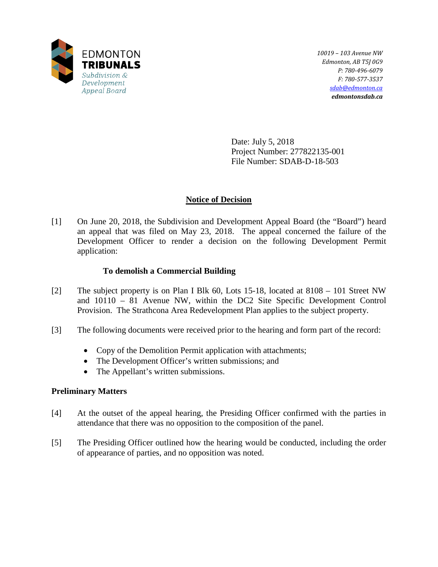

*10019 – 103 Avenue NW Edmonton, AB T5J 0G9 P: 780-496-6079 F: 780-577-3537 [sdab@edmonton.ca](mailto:sdab@edmonton.ca) edmontonsdab.ca*

Date: July 5, 2018 Project Number: 277822135-001 File Number: SDAB-D-18-503

# **Notice of Decision**

[1] On June 20, 2018, the Subdivision and Development Appeal Board (the "Board") heard an appeal that was filed on May 23, 2018. The appeal concerned the failure of the Development Officer to render a decision on the following Development Permit application:

## **To demolish a Commercial Building**

- [2] The subject property is on Plan I Blk 60, Lots 15-18, located at 8108 101 Street NW and 10110 – 81 Avenue NW, within the DC2 Site Specific Development Control Provision. The Strathcona Area Redevelopment Plan applies to the subject property.
- [3] The following documents were received prior to the hearing and form part of the record:
	- Copy of the Demolition Permit application with attachments;
	- The Development Officer's written submissions; and
	- The Appellant's written submissions.

# **Preliminary Matters**

- [4] At the outset of the appeal hearing, the Presiding Officer confirmed with the parties in attendance that there was no opposition to the composition of the panel.
- [5] The Presiding Officer outlined how the hearing would be conducted, including the order of appearance of parties, and no opposition was noted.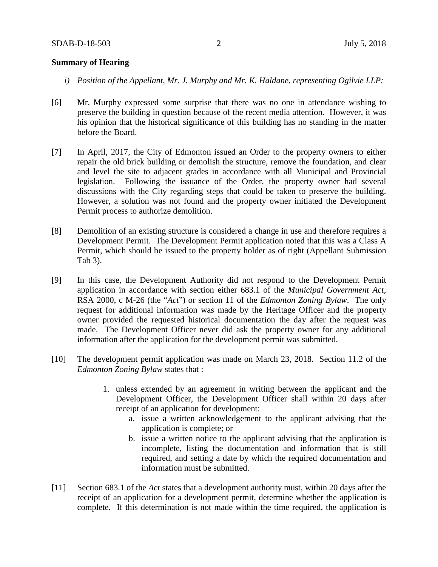### **Summary of Hearing**

- *i) Position of the Appellant, Mr. J. Murphy and Mr. K. Haldane, representing Ogilvie LLP:*
- [6] Mr. Murphy expressed some surprise that there was no one in attendance wishing to preserve the building in question because of the recent media attention. However, it was his opinion that the historical significance of this building has no standing in the matter before the Board.
- [7] In April, 2017, the City of Edmonton issued an Order to the property owners to either repair the old brick building or demolish the structure, remove the foundation, and clear and level the site to adjacent grades in accordance with all Municipal and Provincial legislation. Following the issuance of the Order, the property owner had several discussions with the City regarding steps that could be taken to preserve the building. However, a solution was not found and the property owner initiated the Development Permit process to authorize demolition.
- [8] Demolition of an existing structure is considered a change in use and therefore requires a Development Permit. The Development Permit application noted that this was a Class A Permit, which should be issued to the property holder as of right (Appellant Submission Tab 3).
- [9] In this case, the Development Authority did not respond to the Development Permit application in accordance with section either 683.1 of the *Municipal Government Act*, RSA 2000, c M-26 (the "*Act*") or section 11 of the *Edmonton Zoning Bylaw*. The only request for additional information was made by the Heritage Officer and the property owner provided the requested historical documentation the day after the request was made. The Development Officer never did ask the property owner for any additional information after the application for the development permit was submitted.
- [10] The development permit application was made on March 23, 2018. Section 11.2 of the *Edmonton Zoning Bylaw* states that :
	- 1. unless extended by an agreement in writing between the applicant and the Development Officer, the Development Officer shall within 20 days after receipt of an application for development:
		- a. issue a written acknowledgement to the applicant advising that the application is complete; or
		- b. issue a written notice to the applicant advising that the application is incomplete, listing the documentation and information that is still required, and setting a date by which the required documentation and information must be submitted.
- [11] Section 683.1 of the *Act* states that a development authority must, within 20 days after the receipt of an application for a development permit, determine whether the application is complete. If this determination is not made within the time required, the application is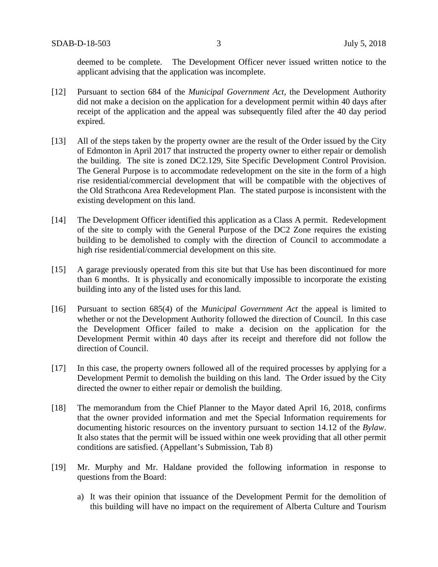deemed to be complete. The Development Officer never issued written notice to the applicant advising that the application was incomplete.

- [12] Pursuant to section 684 of the *Municipal Government Act,* the Development Authority did not make a decision on the application for a development permit within 40 days after receipt of the application and the appeal was subsequently filed after the 40 day period expired.
- [13] All of the steps taken by the property owner are the result of the Order issued by the City of Edmonton in April 2017 that instructed the property owner to either repair or demolish the building. The site is zoned DC2.129, Site Specific Development Control Provision. The General Purpose is to accommodate redevelopment on the site in the form of a high rise residential/commercial development that will be compatible with the objectives of the Old Strathcona Area Redevelopment Plan. The stated purpose is inconsistent with the existing development on this land.
- [14] The Development Officer identified this application as a Class A permit. Redevelopment of the site to comply with the General Purpose of the DC2 Zone requires the existing building to be demolished to comply with the direction of Council to accommodate a high rise residential/commercial development on this site.
- [15] A garage previously operated from this site but that Use has been discontinued for more than 6 months. It is physically and economically impossible to incorporate the existing building into any of the listed uses for this land.
- [16] Pursuant to section 685(4) of the *Municipal Government Act* the appeal is limited to whether or not the Development Authority followed the direction of Council. In this case the Development Officer failed to make a decision on the application for the Development Permit within 40 days after its receipt and therefore did not follow the direction of Council.
- [17] In this case, the property owners followed all of the required processes by applying for a Development Permit to demolish the building on this land. The Order issued by the City directed the owner to either repair or demolish the building.
- [18] The memorandum from the Chief Planner to the Mayor dated April 16, 2018, confirms that the owner provided information and met the Special Information requirements for documenting historic resources on the inventory pursuant to section 14.12 of the *Bylaw*. It also states that the permit will be issued within one week providing that all other permit conditions are satisfied. (Appellant's Submission, Tab 8)
- [19] Mr. Murphy and Mr. Haldane provided the following information in response to questions from the Board:
	- a) It was their opinion that issuance of the Development Permit for the demolition of this building will have no impact on the requirement of Alberta Culture and Tourism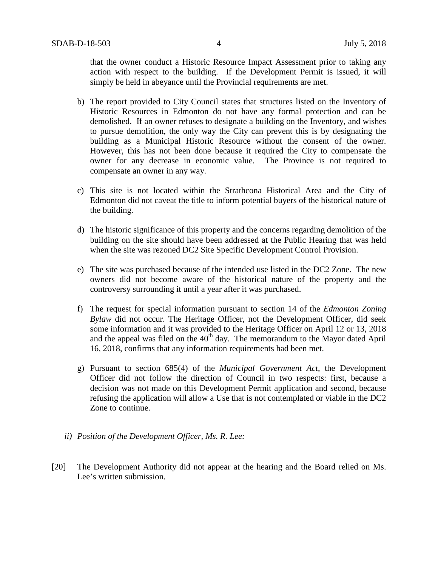that the owner conduct a Historic Resource Impact Assessment prior to taking any action with respect to the building. If the Development Permit is issued, it will simply be held in abeyance until the Provincial requirements are met.

- b) The report provided to City Council states that structures listed on the Inventory of Historic Resources in Edmonton do not have any formal protection and can be demolished. If an owner refuses to designate a building on the Inventory, and wishes to pursue demolition, the only way the City can prevent this is by designating the building as a Municipal Historic Resource without the consent of the owner. However, this has not been done because it required the City to compensate the owner for any decrease in economic value. The Province is not required to compensate an owner in any way.
- c) This site is not located within the Strathcona Historical Area and the City of Edmonton did not caveat the title to inform potential buyers of the historical nature of the building.
- d) The historic significance of this property and the concerns regarding demolition of the building on the site should have been addressed at the Public Hearing that was held when the site was rezoned DC2 Site Specific Development Control Provision.
- e) The site was purchased because of the intended use listed in the DC2 Zone. The new owners did not become aware of the historical nature of the property and the controversy surrounding it until a year after it was purchased.
- f) The request for special information pursuant to section 14 of the *Edmonton Zoning Bylaw* did not occur. The Heritage Officer, not the Development Officer, did seek some information and it was provided to the Heritage Officer on April 12 or 13, 2018 and the appeal was filed on the  $40<sup>th</sup>$  day. The memorandum to the Mayor dated April 16, 2018, confirms that any information requirements had been met.
- g) Pursuant to section 685(4) of the *Municipal Government Act*, the Development Officer did not follow the direction of Council in two respects: first, because a decision was not made on this Development Permit application and second, because refusing the application will allow a Use that is not contemplated or viable in the DC2 Zone to continue.
- *ii) Position of the Development Officer, Ms. R. Lee:*
- [20] The Development Authority did not appear at the hearing and the Board relied on Ms. Lee's written submission.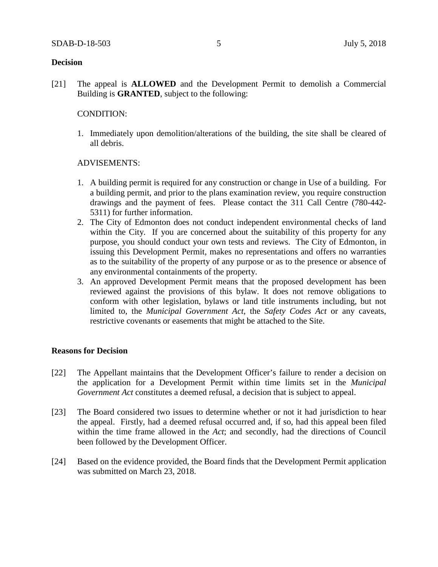### **Decision**

[21] The appeal is **ALLOWED** and the Development Permit to demolish a Commercial Building is **GRANTED**, subject to the following:

### CONDITION:

1. Immediately upon demolition/alterations of the building, the site shall be cleared of all debris.

### ADVISEMENTS:

- 1. A building permit is required for any construction or change in Use of a building. For a building permit, and prior to the plans examination review, you require construction drawings and the payment of fees. Please contact the 311 Call Centre (780-442- 5311) for further information.
- 2. The City of Edmonton does not conduct independent environmental checks of land within the City. If you are concerned about the suitability of this property for any purpose, you should conduct your own tests and reviews. The City of Edmonton, in issuing this Development Permit, makes no representations and offers no warranties as to the suitability of the property of any purpose or as to the presence or absence of any environmental containments of the property.
- 3. An approved Development Permit means that the proposed development has been reviewed against the provisions of this bylaw. It does not remove obligations to conform with other legislation, bylaws or land title instruments including, but not limited to, the *Municipal Government Act*, the *Safety Codes Act* or any caveats, restrictive covenants or easements that might be attached to the Site.

## **Reasons for Decision**

- [22] The Appellant maintains that the Development Officer's failure to render a decision on the application for a Development Permit within time limits set in the *Municipal Government Act* constitutes a deemed refusal, a decision that is subject to appeal.
- [23] The Board considered two issues to determine whether or not it had jurisdiction to hear the appeal. Firstly, had a deemed refusal occurred and, if so, had this appeal been filed within the time frame allowed in the *Act*; and secondly, had the directions of Council been followed by the Development Officer.
- [24] Based on the evidence provided, the Board finds that the Development Permit application was submitted on March 23, 2018.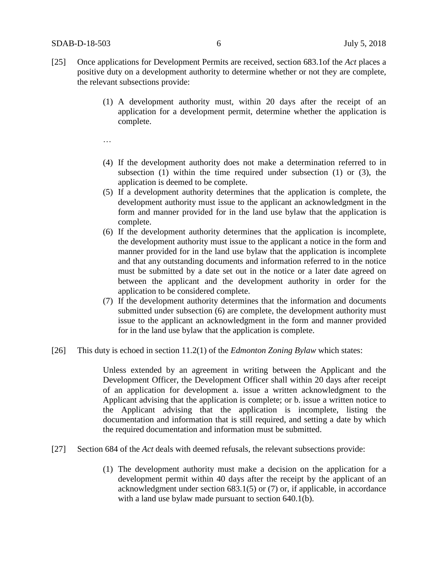- [25] Once applications for Development Permits are received, section 683.1of the *Act* places a positive duty on a development authority to determine whether or not they are complete, the relevant subsections provide:
	- (1) A development authority must, within 20 days after the receipt of an application for a development permit, determine whether the application is complete.
	- …
	- (4) If the development authority does not make a determination referred to in subsection (1) within the time required under subsection (1) or (3), the application is deemed to be complete.
	- (5) If a development authority determines that the application is complete, the development authority must issue to the applicant an acknowledgment in the form and manner provided for in the land use bylaw that the application is complete.
	- (6) If the development authority determines that the application is incomplete, the development authority must issue to the applicant a notice in the form and manner provided for in the land use bylaw that the application is incomplete and that any outstanding documents and information referred to in the notice must be submitted by a date set out in the notice or a later date agreed on between the applicant and the development authority in order for the application to be considered complete.
	- (7) If the development authority determines that the information and documents submitted under subsection (6) are complete, the development authority must issue to the applicant an acknowledgment in the form and manner provided for in the land use bylaw that the application is complete.
- [26] This duty is echoed in section 11.2(1) of the *Edmonton Zoning Bylaw* which states:

Unless extended by an agreement in writing between the Applicant and the Development Officer, the Development Officer shall within 20 days after receipt of an application for development a. issue a written acknowledgment to the Applicant advising that the application is complete; or b. issue a written notice to the Applicant advising that the application is incomplete, listing the documentation and information that is still required, and setting a date by which the required documentation and information must be submitted.

- [27] Section 684 of the *Act* deals with deemed refusals, the relevant subsections provide:
	- (1) The development authority must make a decision on the application for a development permit within 40 days after the receipt by the applicant of an acknowledgment under section 683.1(5) or (7) or, if applicable, in accordance with a land use bylaw made pursuant to section 640.1(b).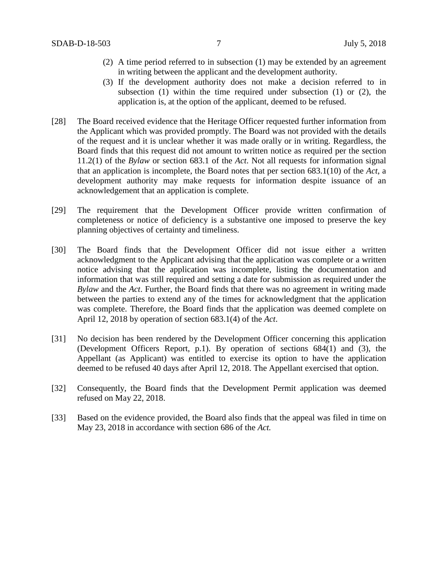- (2) A time period referred to in subsection (1) may be extended by an agreement in writing between the applicant and the development authority.
- (3) If the development authority does not make a decision referred to in subsection (1) within the time required under subsection (1) or (2), the application is, at the option of the applicant, deemed to be refused.
- [28] The Board received evidence that the Heritage Officer requested further information from the Applicant which was provided promptly. The Board was not provided with the details of the request and it is unclear whether it was made orally or in writing. Regardless, the Board finds that this request did not amount to written notice as required per the section 11.2(1) of the *Bylaw* or section 683.1 of the *Act*. Not all requests for information signal that an application is incomplete, the Board notes that per section 683.1(10) of the *Act*, a development authority may make requests for information despite issuance of an acknowledgement that an application is complete.
- [29] The requirement that the Development Officer provide written confirmation of completeness or notice of deficiency is a substantive one imposed to preserve the key planning objectives of certainty and timeliness.
- [30] The Board finds that the Development Officer did not issue either a written acknowledgment to the Applicant advising that the application was complete or a written notice advising that the application was incomplete, listing the documentation and information that was still required and setting a date for submission as required under the *Bylaw* and the *Act*. Further, the Board finds that there was no agreement in writing made between the parties to extend any of the times for acknowledgment that the application was complete. Therefore, the Board finds that the application was deemed complete on April 12, 2018 by operation of section 683.1(4) of the *Act*.
- [31] No decision has been rendered by the Development Officer concerning this application (Development Officers Report, p.1). By operation of sections 684(1) and (3), the Appellant (as Applicant) was entitled to exercise its option to have the application deemed to be refused 40 days after April 12, 2018. The Appellant exercised that option.
- [32] Consequently, the Board finds that the Development Permit application was deemed refused on May 22, 2018.
- [33] Based on the evidence provided, the Board also finds that the appeal was filed in time on May 23, 2018 in accordance with section 686 of the *Act.*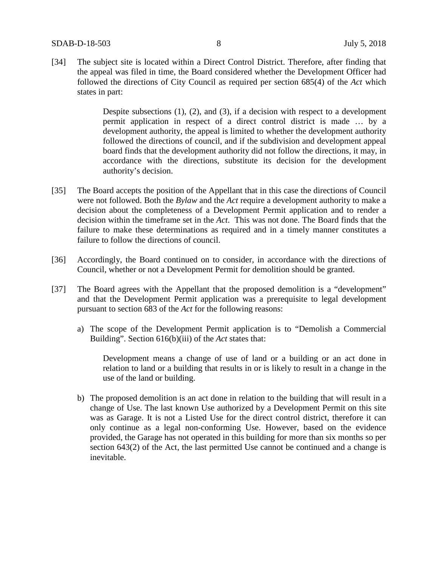[34] The subject site is located within a Direct Control District. Therefore, after finding that the appeal was filed in time, the Board considered whether the Development Officer had followed the directions of City Council as required per section 685(4) of the *Act* which states in part:

> Despite subsections (1), (2), and (3), if a decision with respect to a development permit application in respect of a direct control district is made … by a development authority, the appeal is limited to whether the development authority followed the directions of council, and if the subdivision and development appeal board finds that the development authority did not follow the directions, it may, in accordance with the directions, substitute its decision for the development authority's decision.

- [35] The Board accepts the position of the Appellant that in this case the directions of Council were not followed. Both the *Bylaw* and the *Act* require a development authority to make a decision about the completeness of a Development Permit application and to render a decision within the timeframe set in the *Act*. This was not done. The Board finds that the failure to make these determinations as required and in a timely manner constitutes a failure to follow the directions of council.
- [36] Accordingly, the Board continued on to consider, in accordance with the directions of Council, whether or not a Development Permit for demolition should be granted.
- [37] The Board agrees with the Appellant that the proposed demolition is a "development" and that the Development Permit application was a prerequisite to legal development pursuant to section 683 of the *Act* for the following reasons:
	- a) The scope of the Development Permit application is to "Demolish a Commercial Building". Section 616(b)(iii) of the *Act* states that:

Development means a change of use of land or a building or an act done in relation to land or a building that results in or is likely to result in a change in the use of the land or building.

b) The proposed demolition is an act done in relation to the building that will result in a change of Use. The last known Use authorized by a Development Permit on this site was as Garage. It is not a Listed Use for the direct control district, therefore it can only continue as a legal non-conforming Use. However, based on the evidence provided, the Garage has not operated in this building for more than six months so per section 643(2) of the Act, the last permitted Use cannot be continued and a change is inevitable.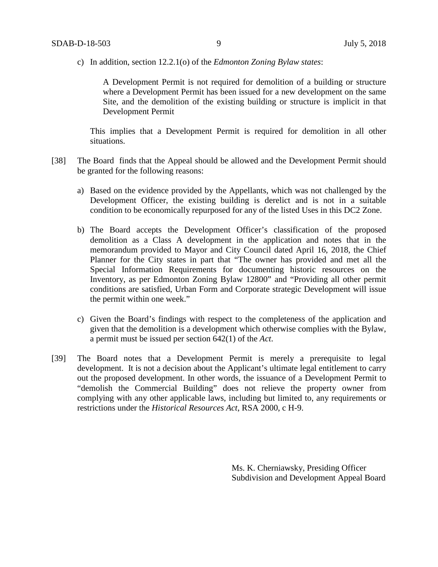c) In addition, section 12.2.1(o) of the *Edmonton Zoning Bylaw states*:

A Development Permit is not required for demolition of a building or structure where a Development Permit has been issued for a new development on the same Site, and the demolition of the existing building or structure is implicit in that Development Permit

This implies that a Development Permit is required for demolition in all other situations.

- [38] The Board finds that the Appeal should be allowed and the Development Permit should be granted for the following reasons:
	- a) Based on the evidence provided by the Appellants, which was not challenged by the Development Officer, the existing building is derelict and is not in a suitable condition to be economically repurposed for any of the listed Uses in this DC2 Zone.
	- b) The Board accepts the Development Officer's classification of the proposed demolition as a Class A development in the application and notes that in the memorandum provided to Mayor and City Council dated April 16, 2018, the Chief Planner for the City states in part that "The owner has provided and met all the Special Information Requirements for documenting historic resources on the Inventory, as per Edmonton Zoning Bylaw 12800" and "Providing all other permit conditions are satisfied, Urban Form and Corporate strategic Development will issue the permit within one week."
	- c) Given the Board's findings with respect to the completeness of the application and given that the demolition is a development which otherwise complies with the Bylaw, a permit must be issued per section 642(1) of the *Act*.
- [39] The Board notes that a Development Permit is merely a prerequisite to legal development. It is not a decision about the Applicant's ultimate legal entitlement to carry out the proposed development. In other words, the issuance of a Development Permit to "demolish the Commercial Building" does not relieve the property owner from complying with any other applicable laws, including but limited to, any requirements or restrictions under the *Historical Resources Act*, RSA 2000, c H-9.

Ms. K. Cherniawsky, Presiding Officer Subdivision and Development Appeal Board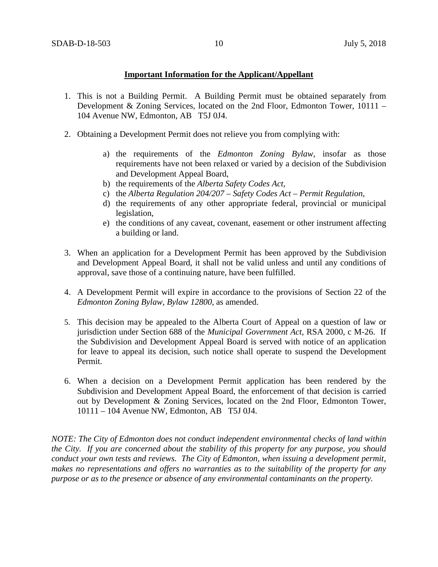## **Important Information for the Applicant/Appellant**

- 1. This is not a Building Permit. A Building Permit must be obtained separately from Development & Zoning Services, located on the 2nd Floor, Edmonton Tower, 10111 – 104 Avenue NW, Edmonton, AB T5J 0J4.
- 2. Obtaining a Development Permit does not relieve you from complying with:
	- a) the requirements of the *Edmonton Zoning Bylaw*, insofar as those requirements have not been relaxed or varied by a decision of the Subdivision and Development Appeal Board,
	- b) the requirements of the *Alberta Safety Codes Act*,
	- c) the *Alberta Regulation 204/207 – Safety Codes Act – Permit Regulation*,
	- d) the requirements of any other appropriate federal, provincial or municipal legislation,
	- e) the conditions of any caveat, covenant, easement or other instrument affecting a building or land.
- 3. When an application for a Development Permit has been approved by the Subdivision and Development Appeal Board, it shall not be valid unless and until any conditions of approval, save those of a continuing nature, have been fulfilled.
- 4. A Development Permit will expire in accordance to the provisions of Section 22 of the *Edmonton Zoning Bylaw, Bylaw 12800*, as amended.
- 5. This decision may be appealed to the Alberta Court of Appeal on a question of law or jurisdiction under Section 688 of the *Municipal Government Act*, RSA 2000, c M-26. If the Subdivision and Development Appeal Board is served with notice of an application for leave to appeal its decision, such notice shall operate to suspend the Development Permit.
- 6. When a decision on a Development Permit application has been rendered by the Subdivision and Development Appeal Board, the enforcement of that decision is carried out by Development & Zoning Services, located on the 2nd Floor, Edmonton Tower, 10111 – 104 Avenue NW, Edmonton, AB T5J 0J4.

*NOTE: The City of Edmonton does not conduct independent environmental checks of land within the City. If you are concerned about the stability of this property for any purpose, you should conduct your own tests and reviews. The City of Edmonton, when issuing a development permit, makes no representations and offers no warranties as to the suitability of the property for any purpose or as to the presence or absence of any environmental contaminants on the property.*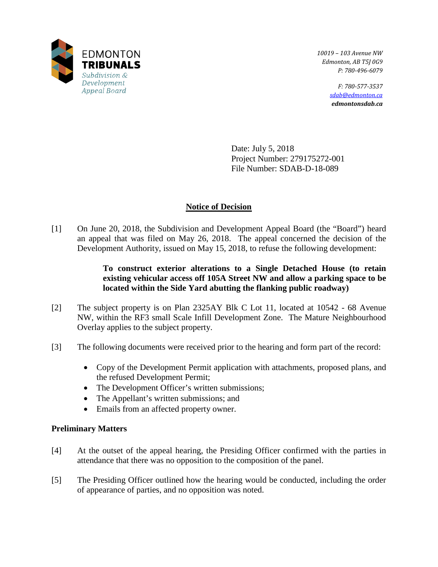

*10019 – 103 Avenue NW Edmonton, AB T5J 0G9 P: 780-496-6079* 

> *F: 780-577-3537 [sdab@edmonton.ca](mailto:sdab@edmonton.ca) edmontonsdab.ca*

Date: July 5, 2018 Project Number: 279175272-001 File Number: SDAB-D-18-089

# **Notice of Decision**

[1] On June 20, 2018, the Subdivision and Development Appeal Board (the "Board") heard an appeal that was filed on May 26, 2018. The appeal concerned the decision of the Development Authority, issued on May 15, 2018, to refuse the following development:

# **To construct exterior alterations to a Single Detached House (to retain existing vehicular access off 105A Street NW and allow a parking space to be located within the Side Yard abutting the flanking public roadway)**

- [2] The subject property is on Plan 2325AY Blk C Lot 11, located at 10542 68 Avenue NW, within the RF3 small Scale Infill Development Zone. The Mature Neighbourhood Overlay applies to the subject property.
- [3] The following documents were received prior to the hearing and form part of the record:
	- Copy of the Development Permit application with attachments, proposed plans, and the refused Development Permit;
	- The Development Officer's written submissions;
	- The Appellant's written submissions; and
	- Emails from an affected property owner.

# **Preliminary Matters**

- [4] At the outset of the appeal hearing, the Presiding Officer confirmed with the parties in attendance that there was no opposition to the composition of the panel.
- [5] The Presiding Officer outlined how the hearing would be conducted, including the order of appearance of parties, and no opposition was noted.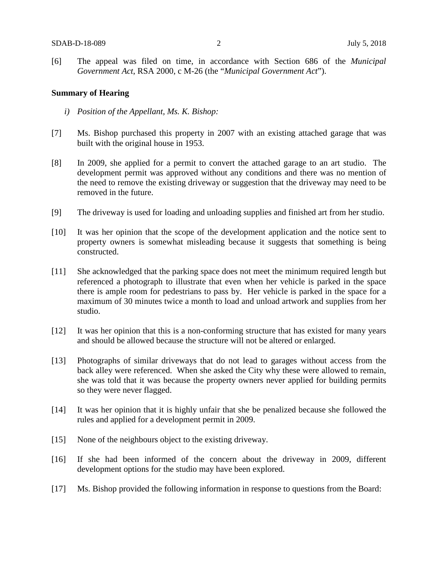[6] The appeal was filed on time, in accordance with Section 686 of the *Municipal Government Act*, RSA 2000, c M-26 (the "*Municipal Government Act*").

### **Summary of Hearing**

- *i) Position of the Appellant, Ms. K. Bishop:*
- [7] Ms. Bishop purchased this property in 2007 with an existing attached garage that was built with the original house in 1953.
- [8] In 2009, she applied for a permit to convert the attached garage to an art studio. The development permit was approved without any conditions and there was no mention of the need to remove the existing driveway or suggestion that the driveway may need to be removed in the future.
- [9] The driveway is used for loading and unloading supplies and finished art from her studio.
- [10] It was her opinion that the scope of the development application and the notice sent to property owners is somewhat misleading because it suggests that something is being constructed.
- [11] She acknowledged that the parking space does not meet the minimum required length but referenced a photograph to illustrate that even when her vehicle is parked in the space there is ample room for pedestrians to pass by. Her vehicle is parked in the space for a maximum of 30 minutes twice a month to load and unload artwork and supplies from her studio.
- [12] It was her opinion that this is a non-conforming structure that has existed for many years and should be allowed because the structure will not be altered or enlarged.
- [13] Photographs of similar driveways that do not lead to garages without access from the back alley were referenced. When she asked the City why these were allowed to remain, she was told that it was because the property owners never applied for building permits so they were never flagged.
- [14] It was her opinion that it is highly unfair that she be penalized because she followed the rules and applied for a development permit in 2009.
- [15] None of the neighbours object to the existing driveway.
- [16] If she had been informed of the concern about the driveway in 2009, different development options for the studio may have been explored.
- [17] Ms. Bishop provided the following information in response to questions from the Board: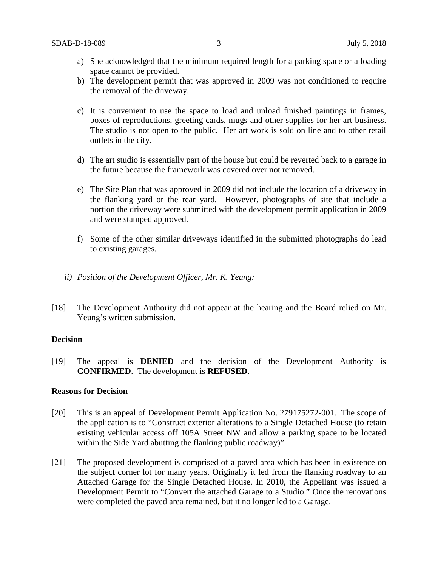- a) She acknowledged that the minimum required length for a parking space or a loading space cannot be provided.
- b) The development permit that was approved in 2009 was not conditioned to require the removal of the driveway.
- c) It is convenient to use the space to load and unload finished paintings in frames, boxes of reproductions, greeting cards, mugs and other supplies for her art business. The studio is not open to the public. Her art work is sold on line and to other retail outlets in the city.
- d) The art studio is essentially part of the house but could be reverted back to a garage in the future because the framework was covered over not removed.
- e) The Site Plan that was approved in 2009 did not include the location of a driveway in the flanking yard or the rear yard. However, photographs of site that include a portion the driveway were submitted with the development permit application in 2009 and were stamped approved.
- f) Some of the other similar driveways identified in the submitted photographs do lead to existing garages.
- *ii) Position of the Development Officer, Mr. K. Yeung:*
- [18] The Development Authority did not appear at the hearing and the Board relied on Mr. Yeung's written submission.

### **Decision**

[19] The appeal is **DENIED** and the decision of the Development Authority is **CONFIRMED**. The development is **REFUSED**.

#### **Reasons for Decision**

- [20] This is an appeal of Development Permit Application No. 279175272-001. The scope of the application is to "Construct exterior alterations to a Single Detached House (to retain existing vehicular access off 105A Street NW and allow a parking space to be located within the Side Yard abutting the flanking public roadway)".
- [21] The proposed development is comprised of a paved area which has been in existence on the subject corner lot for many years. Originally it led from the flanking roadway to an Attached Garage for the Single Detached House. In 2010, the Appellant was issued a Development Permit to "Convert the attached Garage to a Studio." Once the renovations were completed the paved area remained, but it no longer led to a Garage.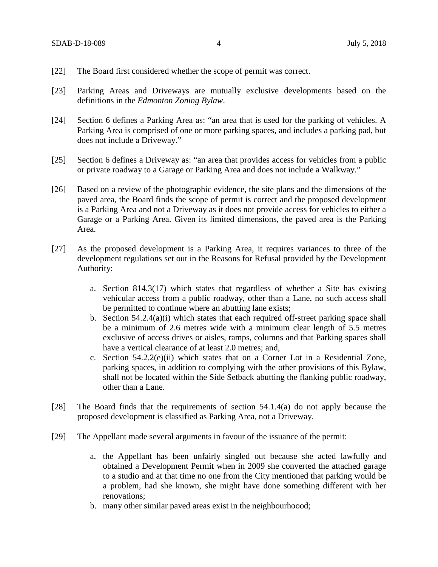- [22] The Board first considered whether the scope of permit was correct.
- [23] Parking Areas and Driveways are mutually exclusive developments based on the definitions in the *Edmonton Zoning Bylaw*.
- [24] Section 6 defines a Parking Area as: "an area that is used for the parking of vehicles. A Parking Area is comprised of one or more parking spaces, and includes a parking pad, but does not include a Driveway."
- [25] Section 6 defines a Driveway as: "an area that provides access for vehicles from a public or private roadway to a Garage or Parking Area and does not include a Walkway."
- [26] Based on a review of the photographic evidence, the site plans and the dimensions of the paved area, the Board finds the scope of permit is correct and the proposed development is a Parking Area and not a Driveway as it does not provide access for vehicles to either a Garage or a Parking Area. Given its limited dimensions, the paved area is the Parking Area.
- [27] As the proposed development is a Parking Area, it requires variances to three of the development regulations set out in the Reasons for Refusal provided by the Development Authority:
	- a. Section 814.3(17) which states that regardless of whether a Site has existing vehicular access from a public roadway, other than a Lane, no such access shall be permitted to continue where an abutting lane exists;
	- b. Section 54.2.4(a)(i) which states that each required off-street parking space shall be a minimum of 2.6 metres wide with a minimum clear length of 5.5 metres exclusive of access drives or aisles, ramps, columns and that Parking spaces shall have a vertical clearance of at least 2.0 metres; and,
	- c. Section 54.2.2(e)(ii) which states that on a Corner Lot in a Residential Zone, parking spaces, in addition to complying with the other provisions of this Bylaw, shall not be located within the Side Setback abutting the flanking public roadway, other than a Lane.
- [28] The Board finds that the requirements of section 54.1.4(a) do not apply because the proposed development is classified as Parking Area, not a Driveway.
- [29] The Appellant made several arguments in favour of the issuance of the permit:
	- a. the Appellant has been unfairly singled out because she acted lawfully and obtained a Development Permit when in 2009 she converted the attached garage to a studio and at that time no one from the City mentioned that parking would be a problem, had she known, she might have done something different with her renovations;
	- b. many other similar paved areas exist in the neighbourhoood;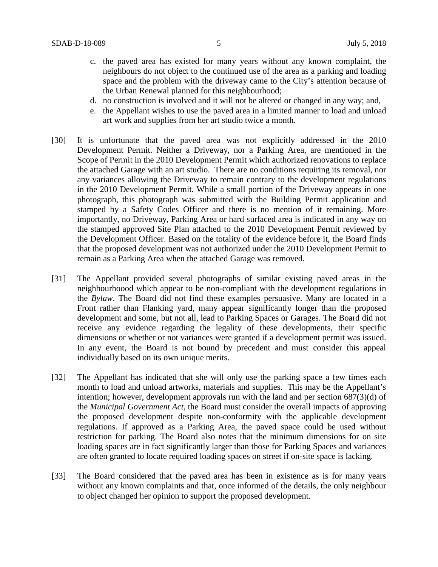- c. the paved area has existed for many years without any known complaint, the neighbours do not object to the continued use of the area as a parking and loading space and the problem with the driveway came to the City's attention because of the Urban Renewal planned for this neighbourhood;
- d. no construction is involved and it will not be altered or changed in any way; and,
- e. the Appellant wishes to use the paved area in a limited manner to load and unload art work and supplies from her art studio twice a month.
- [30] It is unfortunate that the paved area was not explicitly addressed in the 2010 Development Permit. Neither a Driveway, nor a Parking Area, are mentioned in the Scope of Permit in the 2010 Development Permit which authorized renovations to replace the attached Garage with an art studio. There are no conditions requiring its removal, nor any variances allowing the Driveway to remain contrary to the development regulations in the 2010 Development Permit. While a small portion of the Driveway appears in one photograph, this photograph was submitted with the Building Permit application and stamped by a Safety Codes Officer and there is no mention of it remaining. More importantly, no Driveway, Parking Area or hard surfaced area is indicated in any way on the stamped approved Site Plan attached to the 2010 Development Permit reviewed by the Development Officer. Based on the totality of the evidence before it, the Board finds that the proposed development was not authorized under the 2010 Development Permit to remain as a Parking Area when the attached Garage was removed.
- [31] The Appellant provided several photographs of similar existing paved areas in the neighbourhoood which appear to be non-compliant with the development regulations in the *Bylaw*. The Board did not find these examples persuasive. Many are located in a Front rather than Flanking yard, many appear significantly longer than the proposed development and some, but not all, lead to Parking Spaces or Garages. The Board did not receive any evidence regarding the legality of these developments, their specific dimensions or whether or not variances were granted if a development permit was issued. In any event, the Board is not bound by precedent and must consider this appeal individually based on its own unique merits.
- [32] The Appellant has indicated that she will only use the parking space a few times each month to load and unload artworks, materials and supplies. This may be the Appellant's intention; however, development approvals run with the land and per section 687(3)(d) of the *Municipal Government Act*, the Board must consider the overall impacts of approving the proposed development despite non-conformity with the applicable development regulations. If approved as a Parking Area, the paved space could be used without restriction for parking. The Board also notes that the minimum dimensions for on site loading spaces are in fact significantly larger than those for Parking Spaces and variances are often granted to locate required loading spaces on street if on-site space is lacking.
- [33] The Board considered that the paved area has been in existence as is for many years without any known complaints and that, once informed of the details, the only neighbour to object changed her opinion to support the proposed development.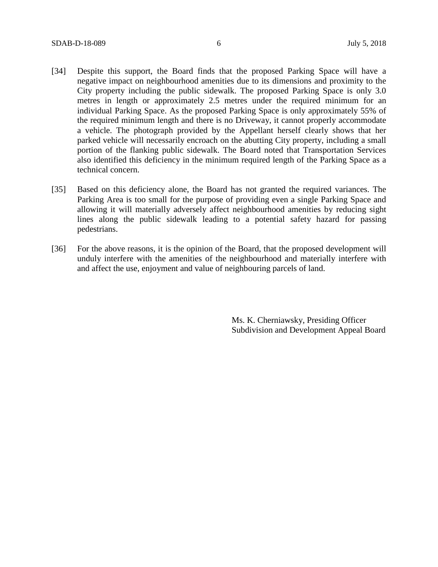- [34] Despite this support, the Board finds that the proposed Parking Space will have a negative impact on neighbourhood amenities due to its dimensions and proximity to the City property including the public sidewalk. The proposed Parking Space is only 3.0 metres in length or approximately 2.5 metres under the required minimum for an individual Parking Space. As the proposed Parking Space is only approximately 55% of the required minimum length and there is no Driveway, it cannot properly accommodate a vehicle. The photograph provided by the Appellant herself clearly shows that her parked vehicle will necessarily encroach on the abutting City property, including a small portion of the flanking public sidewalk. The Board noted that Transportation Services also identified this deficiency in the minimum required length of the Parking Space as a technical concern.
- [35] Based on this deficiency alone, the Board has not granted the required variances. The Parking Area is too small for the purpose of providing even a single Parking Space and allowing it will materially adversely affect neighbourhood amenities by reducing sight lines along the public sidewalk leading to a potential safety hazard for passing pedestrians.
- [36] For the above reasons, it is the opinion of the Board, that the proposed development will unduly interfere with the amenities of the neighbourhood and materially interfere with and affect the use, enjoyment and value of neighbouring parcels of land.

Ms. K. Cherniawsky, Presiding Officer Subdivision and Development Appeal Board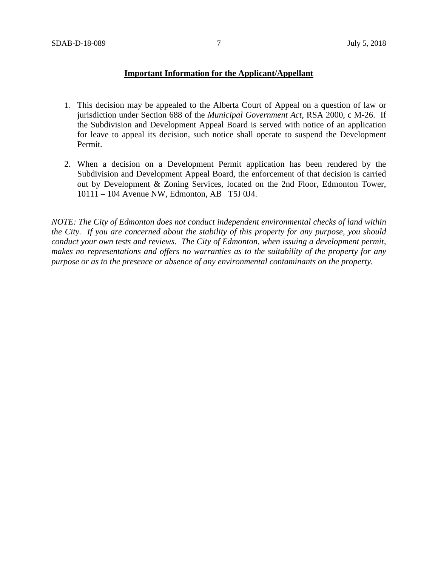### **Important Information for the Applicant/Appellant**

- 1. This decision may be appealed to the Alberta Court of Appeal on a question of law or jurisdiction under Section 688 of the *Municipal Government Act*, RSA 2000, c M-26. If the Subdivision and Development Appeal Board is served with notice of an application for leave to appeal its decision, such notice shall operate to suspend the Development Permit.
- 2. When a decision on a Development Permit application has been rendered by the Subdivision and Development Appeal Board, the enforcement of that decision is carried out by Development & Zoning Services, located on the 2nd Floor, Edmonton Tower, 10111 – 104 Avenue NW, Edmonton, AB T5J 0J4.

*NOTE: The City of Edmonton does not conduct independent environmental checks of land within the City. If you are concerned about the stability of this property for any purpose, you should conduct your own tests and reviews. The City of Edmonton, when issuing a development permit, makes no representations and offers no warranties as to the suitability of the property for any purpose or as to the presence or absence of any environmental contaminants on the property.*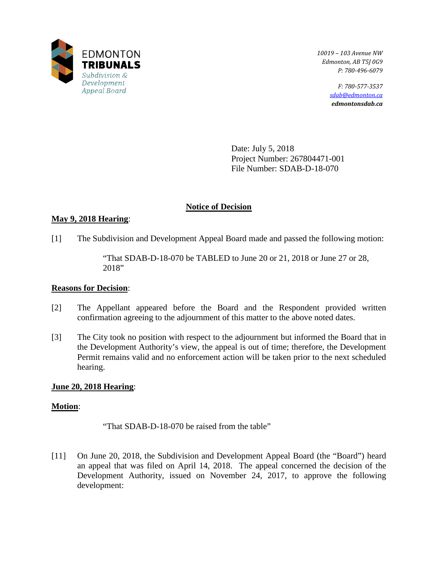

*10019 – 103 Avenue NW Edmonton, AB T5J 0G9 P: 780-496-6079* 

> *F: 780-577-3537 [sdab@edmonton.ca](mailto:sdab@edmonton.ca) edmontonsdab.ca*

Date: July 5, 2018 Project Number: 267804471-001 File Number: SDAB-D-18-070

# **Notice of Decision**

# **May 9, 2018 Hearing**:

[1] The Subdivision and Development Appeal Board made and passed the following motion:

"That SDAB-D-18-070 be TABLED to June 20 or 21, 2018 or June 27 or 28, 2018"

# **Reasons for Decision**:

- [2] The Appellant appeared before the Board and the Respondent provided written confirmation agreeing to the adjournment of this matter to the above noted dates.
- [3] The City took no position with respect to the adjournment but informed the Board that in the Development Authority's view, the appeal is out of time; therefore, the Development Permit remains valid and no enforcement action will be taken prior to the next scheduled hearing.

# **June 20, 2018 Hearing**:

# **Motion**:

"That SDAB-D-18-070 be raised from the table"

[11] On June 20, 2018, the Subdivision and Development Appeal Board (the "Board") heard an appeal that was filed on April 14, 2018. The appeal concerned the decision of the Development Authority, issued on November 24, 2017, to approve the following development: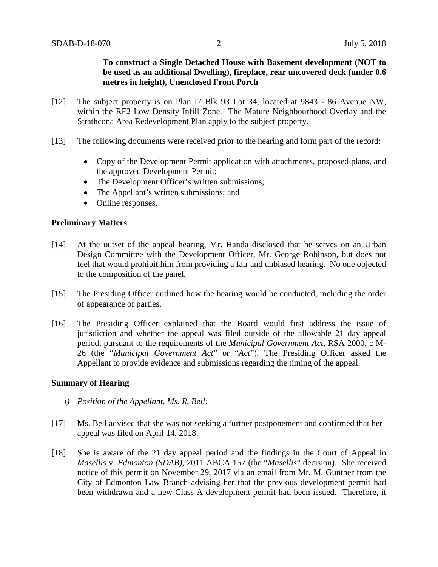**To construct a Single Detached House with Basement development (NOT to be used as an additional Dwelling), fireplace, rear uncovered deck (under 0.6 metres in height), Unenclosed Front Porch**

- [12] The subject property is on Plan I7 Blk 93 Lot 34, located at 9843 86 Avenue NW, within the RF2 Low Density Infill Zone. The Mature Neighbourhood Overlay and the Strathcona Area Redevelopment Plan apply to the subject property.
- [13] The following documents were received prior to the hearing and form part of the record:
	- Copy of the Development Permit application with attachments, proposed plans, and the approved Development Permit;
	- The Development Officer's written submissions;
	- The Appellant's written submissions; and
	- Online responses.

## **Preliminary Matters**

- [14] At the outset of the appeal hearing, Mr. Handa disclosed that he serves on an Urban Design Committee with the Development Officer, Mr. George Robinson, but does not feel that would prohibit him from providing a fair and unbiased hearing. No one objected to the composition of the panel.
- [15] The Presiding Officer outlined how the hearing would be conducted, including the order of appearance of parties.
- [16] The Presiding Officer explained that the Board would first address the issue of jurisdiction and whether the appeal was filed outside of the allowable 21 day appeal period, pursuant to the requirements of the *Municipal Government Act*, RSA 2000, c M-26 (the "*Municipal Government Act*" or "*Act*"). The Presiding Officer asked the Appellant to provide evidence and submissions regarding the timing of the appeal.

### **Summary of Hearing**

- *i) Position of the Appellant, Ms. R. Bell:*
- [17] Ms. Bell advised that she was not seeking a further postponement and confirmed that her appeal was filed on April 14, 2018.
- [18] She is aware of the 21 day appeal period and the findings in the Court of Appeal in *Masellis* v. *Edmonton (SDAB)*, 2011 ABCA 157 (the "*Masellis*" decision). She received notice of this permit on November 29, 2017 via an email from Mr. M. Gunther from the City of Edmonton Law Branch advising her that the previous development permit had been withdrawn and a new Class A development permit had been issued. Therefore, it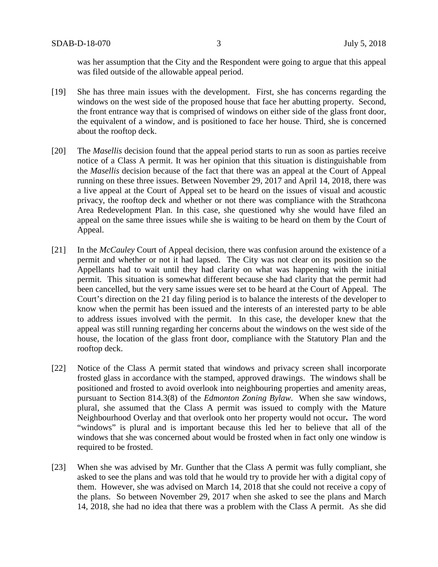was her assumption that the City and the Respondent were going to argue that this appeal was filed outside of the allowable appeal period.

- [19] She has three main issues with the development. First, she has concerns regarding the windows on the west side of the proposed house that face her abutting property. Second, the front entrance way that is comprised of windows on either side of the glass front door, the equivalent of a window, and is positioned to face her house. Third, she is concerned about the rooftop deck.
- [20] The *Masellis* decision found that the appeal period starts to run as soon as parties receive notice of a Class A permit. It was her opinion that this situation is distinguishable from the *Masellis* decision because of the fact that there was an appeal at the Court of Appeal running on these three issues. Between November 29, 2017 and April 14, 2018, there was a live appeal at the Court of Appeal set to be heard on the issues of visual and acoustic privacy, the rooftop deck and whether or not there was compliance with the Strathcona Area Redevelopment Plan. In this case, she questioned why she would have filed an appeal on the same three issues while she is waiting to be heard on them by the Court of Appeal.
- [21] In the *McCauley* Court of Appeal decision, there was confusion around the existence of a permit and whether or not it had lapsed. The City was not clear on its position so the Appellants had to wait until they had clarity on what was happening with the initial permit. This situation is somewhat different because she had clarity that the permit had been cancelled, but the very same issues were set to be heard at the Court of Appeal. The Court's direction on the 21 day filing period is to balance the interests of the developer to know when the permit has been issued and the interests of an interested party to be able to address issues involved with the permit. In this case, the developer knew that the appeal was still running regarding her concerns about the windows on the west side of the house, the location of the glass front door, compliance with the Statutory Plan and the rooftop deck.
- [22] Notice of the Class A permit stated that windows and privacy screen shall incorporate frosted glass in accordance with the stamped, approved drawings. The windows shall be positioned and frosted to avoid overlook into neighbouring properties and amenity areas, pursuant to Section 814.3(8) of the *Edmonton Zoning Bylaw*. When she saw windows, plural, she assumed that the Class A permit was issued to comply with the Mature Neighbourhood Overlay and that overlook onto her property would not occur**.** The word "windows" is plural and is important because this led her to believe that all of the windows that she was concerned about would be frosted when in fact only one window is required to be frosted.
- [23] When she was advised by Mr. Gunther that the Class A permit was fully compliant, she asked to see the plans and was told that he would try to provide her with a digital copy of them. However, she was advised on March 14, 2018 that she could not receive a copy of the plans. So between November 29, 2017 when she asked to see the plans and March 14, 2018, she had no idea that there was a problem with the Class A permit. As she did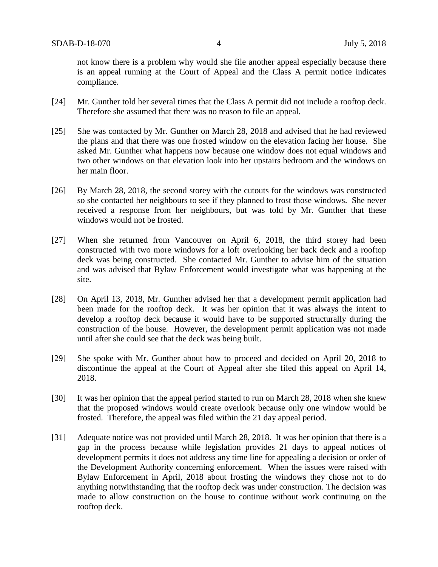not know there is a problem why would she file another appeal especially because there is an appeal running at the Court of Appeal and the Class A permit notice indicates compliance.

- [24] Mr. Gunther told her several times that the Class A permit did not include a rooftop deck. Therefore she assumed that there was no reason to file an appeal.
- [25] She was contacted by Mr. Gunther on March 28, 2018 and advised that he had reviewed the plans and that there was one frosted window on the elevation facing her house. She asked Mr. Gunther what happens now because one window does not equal windows and two other windows on that elevation look into her upstairs bedroom and the windows on her main floor.
- [26] By March 28, 2018, the second storey with the cutouts for the windows was constructed so she contacted her neighbours to see if they planned to frost those windows. She never received a response from her neighbours, but was told by Mr. Gunther that these windows would not be frosted.
- [27] When she returned from Vancouver on April 6, 2018, the third storey had been constructed with two more windows for a loft overlooking her back deck and a rooftop deck was being constructed. She contacted Mr. Gunther to advise him of the situation and was advised that Bylaw Enforcement would investigate what was happening at the site.
- [28] On April 13, 2018, Mr. Gunther advised her that a development permit application had been made for the rooftop deck. It was her opinion that it was always the intent to develop a rooftop deck because it would have to be supported structurally during the construction of the house. However, the development permit application was not made until after she could see that the deck was being built.
- [29] She spoke with Mr. Gunther about how to proceed and decided on April 20, 2018 to discontinue the appeal at the Court of Appeal after she filed this appeal on April 14, 2018.
- [30] It was her opinion that the appeal period started to run on March 28, 2018 when she knew that the proposed windows would create overlook because only one window would be frosted. Therefore, the appeal was filed within the 21 day appeal period.
- [31] Adequate notice was not provided until March 28, 2018. It was her opinion that there is a gap in the process because while legislation provides 21 days to appeal notices of development permits it does not address any time line for appealing a decision or order of the Development Authority concerning enforcement. When the issues were raised with Bylaw Enforcement in April, 2018 about frosting the windows they chose not to do anything notwithstanding that the rooftop deck was under construction. The decision was made to allow construction on the house to continue without work continuing on the rooftop deck.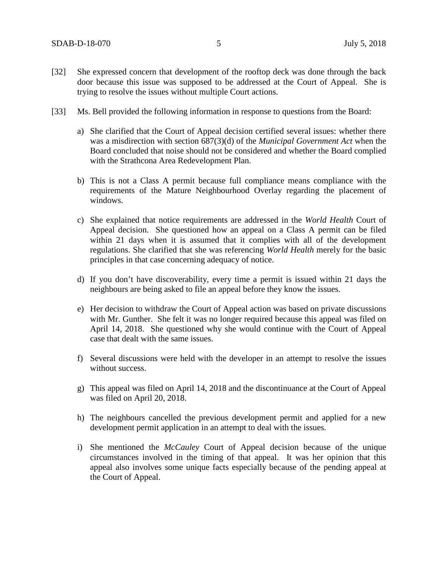- [32] She expressed concern that development of the rooftop deck was done through the back door because this issue was supposed to be addressed at the Court of Appeal. She is trying to resolve the issues without multiple Court actions.
- [33] Ms. Bell provided the following information in response to questions from the Board:
	- a) She clarified that the Court of Appeal decision certified several issues: whether there was a misdirection with section 687(3)(d) of the *Municipal Government Act* when the Board concluded that noise should not be considered and whether the Board complied with the Strathcona Area Redevelopment Plan.
	- b) This is not a Class A permit because full compliance means compliance with the requirements of the Mature Neighbourhood Overlay regarding the placement of windows.
	- c) She explained that notice requirements are addressed in the *World Health* Court of Appeal decision. She questioned how an appeal on a Class A permit can be filed within 21 days when it is assumed that it complies with all of the development regulations. She clarified that she was referencing *World Health* merely for the basic principles in that case concerning adequacy of notice.
	- d) If you don't have discoverability, every time a permit is issued within 21 days the neighbours are being asked to file an appeal before they know the issues.
	- e) Her decision to withdraw the Court of Appeal action was based on private discussions with Mr. Gunther. She felt it was no longer required because this appeal was filed on April 14, 2018. She questioned why she would continue with the Court of Appeal case that dealt with the same issues.
	- f) Several discussions were held with the developer in an attempt to resolve the issues without success.
	- g) This appeal was filed on April 14, 2018 and the discontinuance at the Court of Appeal was filed on April 20, 2018.
	- h) The neighbours cancelled the previous development permit and applied for a new development permit application in an attempt to deal with the issues.
	- i) She mentioned the *McCauley* Court of Appeal decision because of the unique circumstances involved in the timing of that appeal. It was her opinion that this appeal also involves some unique facts especially because of the pending appeal at the Court of Appeal.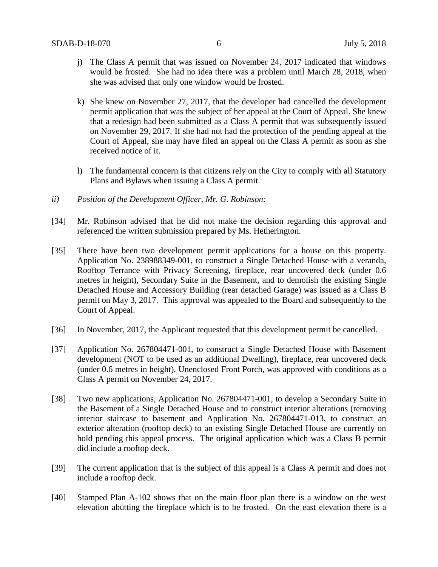- j) The Class A permit that was issued on November 24, 2017 indicated that windows would be frosted. She had no idea there was a problem until March 28, 2018, when she was advised that only one window would be frosted.
- k) She knew on November 27, 2017, that the developer had cancelled the development permit application that was the subject of her appeal at the Court of Appeal. She knew that a redesign had been submitted as a Class A permit that was subsequently issued on November 29, 2017. If she had not had the protection of the pending appeal at the Court of Appeal, she may have filed an appeal on the Class A permit as soon as she received notice of it.
- l) The fundamental concern is that citizens rely on the City to comply with all Statutory Plans and Bylaws when issuing a Class A permit.
- *ii) Position of the Development Officer, Mr. G. Robinson:*
- [34] Mr. Robinson advised that he did not make the decision regarding this approval and referenced the written submission prepared by Ms. Hetherington.
- [35] There have been two development permit applications for a house on this property. Application No. 238988349-001, to construct a Single Detached House with a veranda, Rooftop Terrance with Privacy Screening, fireplace, rear uncovered deck (under 0.6 metres in height), Secondary Suite in the Basement, and to demolish the existing Single Detached House and Accessory Building (rear detached Garage) was issued as a Class B permit on May 3, 2017. This approval was appealed to the Board and subsequently to the Court of Appeal.
- [36] In November, 2017, the Applicant requested that this development permit be cancelled.
- [37] Application No. 267804471-001, to construct a Single Detached House with Basement development (NOT to be used as an additional Dwelling), fireplace, rear uncovered deck (under 0.6 metres in height), Unenclosed Front Porch, was approved with conditions as a Class A permit on November 24, 2017.
- [38] Two new applications, Application No. 267804471-001, to develop a Secondary Suite in the Basement of a Single Detached House and to construct interior alterations (removing interior staircase to basement and Application No. 267804471-013, to construct an exterior alteration (rooftop deck) to an existing Single Detached House are currently on hold pending this appeal process. The original application which was a Class B permit did include a rooftop deck.
- [39] The current application that is the subject of this appeal is a Class A permit and does not include a rooftop deck.
- [40] Stamped Plan A-102 shows that on the main floor plan there is a window on the west elevation abutting the fireplace which is to be frosted. On the east elevation there is a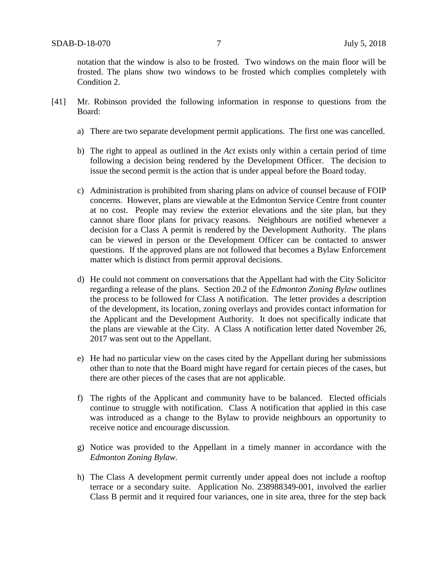notation that the window is also to be frosted. Two windows on the main floor will be frosted. The plans show two windows to be frosted which complies completely with Condition 2.

- [41] Mr. Robinson provided the following information in response to questions from the Board:
	- a) There are two separate development permit applications. The first one was cancelled.
	- b) The right to appeal as outlined in the *Act* exists only within a certain period of time following a decision being rendered by the Development Officer. The decision to issue the second permit is the action that is under appeal before the Board today.
	- c) Administration is prohibited from sharing plans on advice of counsel because of FOIP concerns. However, plans are viewable at the Edmonton Service Centre front counter at no cost. People may review the exterior elevations and the site plan, but they cannot share floor plans for privacy reasons. Neighbours are notified whenever a decision for a Class A permit is rendered by the Development Authority. The plans can be viewed in person or the Development Officer can be contacted to answer questions. If the approved plans are not followed that becomes a Bylaw Enforcement matter which is distinct from permit approval decisions.
	- d) He could not comment on conversations that the Appellant had with the City Solicitor regarding a release of the plans. Section 20.2 of the *Edmonton Zoning Bylaw* outlines the process to be followed for Class A notification. The letter provides a description of the development, its location, zoning overlays and provides contact information for the Applicant and the Development Authority. It does not specifically indicate that the plans are viewable at the City. A Class A notification letter dated November 26, 2017 was sent out to the Appellant.
	- e) He had no particular view on the cases cited by the Appellant during her submissions other than to note that the Board might have regard for certain pieces of the cases, but there are other pieces of the cases that are not applicable.
	- f) The rights of the Applicant and community have to be balanced. Elected officials continue to struggle with notification. Class A notification that applied in this case was introduced as a change to the Bylaw to provide neighbours an opportunity to receive notice and encourage discussion.
	- g) Notice was provided to the Appellant in a timely manner in accordance with the *Edmonton Zoning Bylaw.*
	- h) The Class A development permit currently under appeal does not include a rooftop terrace or a secondary suite. Application No. 238988349-001, involved the earlier Class B permit and it required four variances, one in site area, three for the step back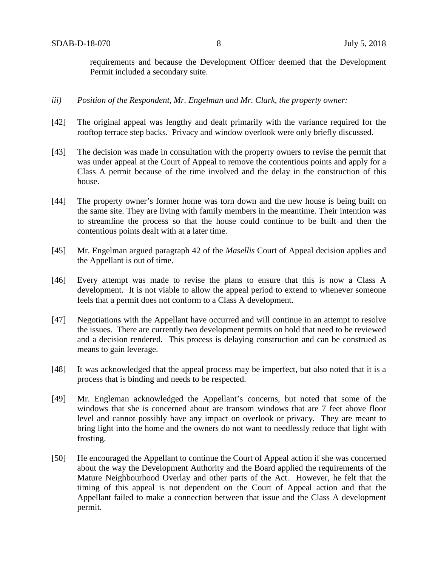requirements and because the Development Officer deemed that the Development Permit included a secondary suite.

- *iii) Position of the Respondent, Mr. Engelman and Mr. Clark, the property owner:*
- [42] The original appeal was lengthy and dealt primarily with the variance required for the rooftop terrace step backs. Privacy and window overlook were only briefly discussed.
- [43] The decision was made in consultation with the property owners to revise the permit that was under appeal at the Court of Appeal to remove the contentious points and apply for a Class A permit because of the time involved and the delay in the construction of this house.
- [44] The property owner's former home was torn down and the new house is being built on the same site. They are living with family members in the meantime. Their intention was to streamline the process so that the house could continue to be built and then the contentious points dealt with at a later time.
- [45] Mr. Engelman argued paragraph 42 of the *Masellis* Court of Appeal decision applies and the Appellant is out of time.
- [46] Every attempt was made to revise the plans to ensure that this is now a Class A development. It is not viable to allow the appeal period to extend to whenever someone feels that a permit does not conform to a Class A development.
- [47] Negotiations with the Appellant have occurred and will continue in an attempt to resolve the issues. There are currently two development permits on hold that need to be reviewed and a decision rendered. This process is delaying construction and can be construed as means to gain leverage.
- [48] It was acknowledged that the appeal process may be imperfect, but also noted that it is a process that is binding and needs to be respected.
- [49] Mr. Engleman acknowledged the Appellant's concerns, but noted that some of the windows that she is concerned about are transom windows that are 7 feet above floor level and cannot possibly have any impact on overlook or privacy. They are meant to bring light into the home and the owners do not want to needlessly reduce that light with frosting.
- [50] He encouraged the Appellant to continue the Court of Appeal action if she was concerned about the way the Development Authority and the Board applied the requirements of the Mature Neighbourhood Overlay and other parts of the Act. However, he felt that the timing of this appeal is not dependent on the Court of Appeal action and that the Appellant failed to make a connection between that issue and the Class A development permit.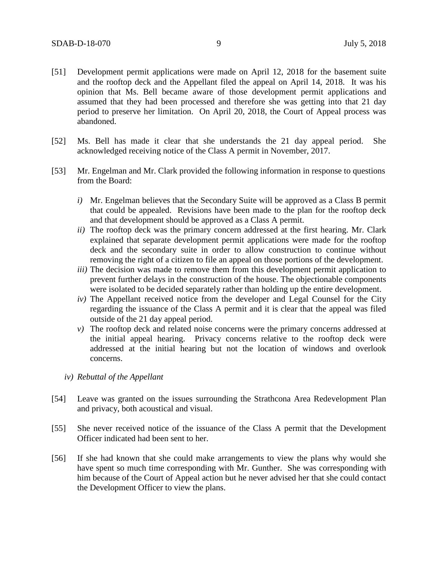- [51] Development permit applications were made on April 12, 2018 for the basement suite and the rooftop deck and the Appellant filed the appeal on April 14, 2018. It was his opinion that Ms. Bell became aware of those development permit applications and assumed that they had been processed and therefore she was getting into that 21 day period to preserve her limitation. On April 20, 2018, the Court of Appeal process was abandoned.
- [52] Ms. Bell has made it clear that she understands the 21 day appeal period. She acknowledged receiving notice of the Class A permit in November, 2017.
- [53] Mr. Engelman and Mr. Clark provided the following information in response to questions from the Board:
	- *i)* Mr. Engelman believes that the Secondary Suite will be approved as a Class B permit that could be appealed. Revisions have been made to the plan for the rooftop deck and that development should be approved as a Class A permit.
	- *ii)* The rooftop deck was the primary concern addressed at the first hearing. Mr. Clark explained that separate development permit applications were made for the rooftop deck and the secondary suite in order to allow construction to continue without removing the right of a citizen to file an appeal on those portions of the development.
	- *iii*) The decision was made to remove them from this development permit application to prevent further delays in the construction of the house. The objectionable components were isolated to be decided separately rather than holding up the entire development.
	- *iv)* The Appellant received notice from the developer and Legal Counsel for the City regarding the issuance of the Class A permit and it is clear that the appeal was filed outside of the 21 day appeal period.
	- *v)* The rooftop deck and related noise concerns were the primary concerns addressed at the initial appeal hearing. Privacy concerns relative to the rooftop deck were addressed at the initial hearing but not the location of windows and overlook concerns.
	- *iv) Rebuttal of the Appellant*
- [54] Leave was granted on the issues surrounding the Strathcona Area Redevelopment Plan and privacy, both acoustical and visual.
- [55] She never received notice of the issuance of the Class A permit that the Development Officer indicated had been sent to her.
- [56] If she had known that she could make arrangements to view the plans why would she have spent so much time corresponding with Mr. Gunther. She was corresponding with him because of the Court of Appeal action but he never advised her that she could contact the Development Officer to view the plans.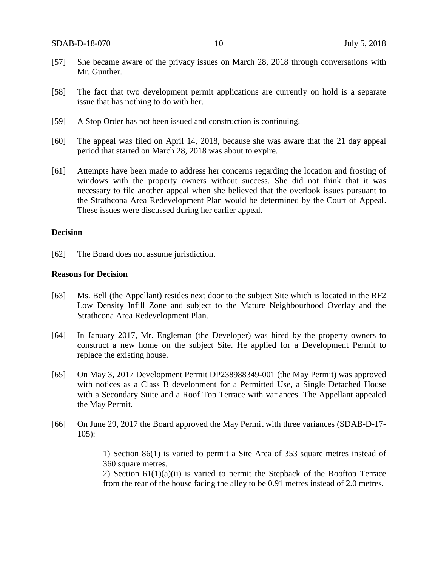- [57] She became aware of the privacy issues on March 28, 2018 through conversations with Mr. Gunther.
- [58] The fact that two development permit applications are currently on hold is a separate issue that has nothing to do with her.
- [59] A Stop Order has not been issued and construction is continuing.
- [60] The appeal was filed on April 14, 2018, because she was aware that the 21 day appeal period that started on March 28, 2018 was about to expire.
- [61] Attempts have been made to address her concerns regarding the location and frosting of windows with the property owners without success. She did not think that it was necessary to file another appeal when she believed that the overlook issues pursuant to the Strathcona Area Redevelopment Plan would be determined by the Court of Appeal. These issues were discussed during her earlier appeal.

### **Decision**

[62] The Board does not assume jurisdiction.

#### **Reasons for Decision**

- [63] Ms. Bell (the Appellant) resides next door to the subject Site which is located in the RF2 Low Density Infill Zone and subject to the Mature Neighbourhood Overlay and the Strathcona Area Redevelopment Plan.
- [64] In January 2017, Mr. Engleman (the Developer) was hired by the property owners to construct a new home on the subject Site. He applied for a Development Permit to replace the existing house.
- [65] On May 3, 2017 Development Permit DP238988349-001 (the May Permit) was approved with notices as a Class B development for a Permitted Use, a Single Detached House with a Secondary Suite and a Roof Top Terrace with variances. The Appellant appealed the May Permit.
- [66] On June 29, 2017 the Board approved the May Permit with three variances (SDAB-D-17- 105):

1) Section 86(1) is varied to permit a Site Area of 353 square metres instead of 360 square metres.

2) Section  $61(1)(a)(ii)$  is varied to permit the Stepback of the Rooftop Terrace from the rear of the house facing the alley to be 0.91 metres instead of 2.0 metres.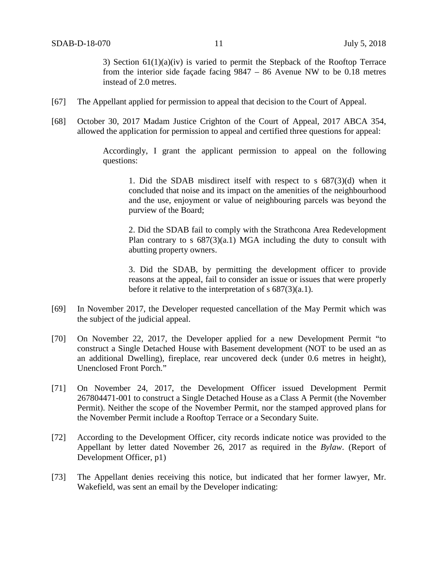3) Section 61(1)(a)(iv) is varied to permit the Stepback of the Rooftop Terrace from the interior side façade facing 9847 – 86 Avenue NW to be 0.18 metres instead of 2.0 metres.

- [67] The Appellant applied for permission to appeal that decision to the Court of Appeal.
- [68] October 30, 2017 Madam Justice Crighton of the Court of Appeal, 2017 ABCA 354, allowed the application for permission to appeal and certified three questions for appeal:

Accordingly, I grant the applicant permission to appeal on the following questions:

1. Did the SDAB misdirect itself with respect to s 687(3)(d) when it concluded that noise and its impact on the amenities of the neighbourhood and the use, enjoyment or value of neighbouring parcels was beyond the purview of the Board;

2. Did the SDAB fail to comply with the Strathcona Area Redevelopment Plan contrary to s 687(3)(a.1) MGA including the duty to consult with abutting property owners.

3. Did the SDAB, by permitting the development officer to provide reasons at the appeal, fail to consider an issue or issues that were properly before it relative to the interpretation of s 687(3)(a.1).

- [69] In November 2017, the Developer requested cancellation of the May Permit which was the subject of the judicial appeal.
- [70] On November 22, 2017, the Developer applied for a new Development Permit "to construct a Single Detached House with Basement development (NOT to be used an as an additional Dwelling), fireplace, rear uncovered deck (under 0.6 metres in height), Unenclosed Front Porch."
- [71] On November 24, 2017, the Development Officer issued Development Permit 267804471-001 to construct a Single Detached House as a Class A Permit (the November Permit). Neither the scope of the November Permit, nor the stamped approved plans for the November Permit include a Rooftop Terrace or a Secondary Suite.
- [72] According to the Development Officer, city records indicate notice was provided to the Appellant by letter dated November 26, 2017 as required in the *Bylaw*. (Report of Development Officer, p1)
- [73] The Appellant denies receiving this notice, but indicated that her former lawyer, Mr. Wakefield, was sent an email by the Developer indicating: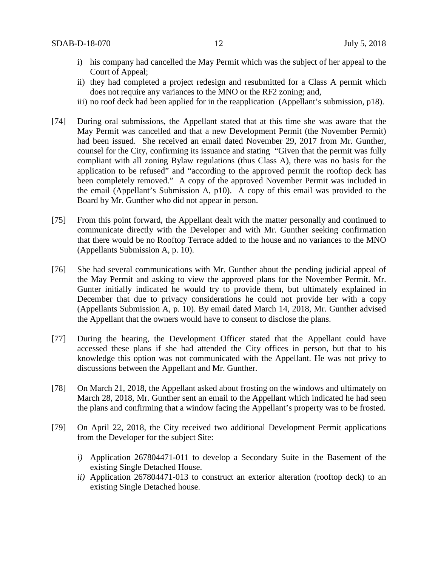- i) his company had cancelled the May Permit which was the subject of her appeal to the Court of Appeal;
- ii) they had completed a project redesign and resubmitted for a Class A permit which does not require any variances to the MNO or the RF2 zoning; and,
- iii) no roof deck had been applied for in the reapplication (Appellant's submission, p18).
- [74] During oral submissions, the Appellant stated that at this time she was aware that the May Permit was cancelled and that a new Development Permit (the November Permit) had been issued. She received an email dated November 29, 2017 from Mr. Gunther, counsel for the City, confirming its issuance and stating "Given that the permit was fully compliant with all zoning Bylaw regulations (thus Class A), there was no basis for the application to be refused" and "according to the approved permit the rooftop deck has been completely removed." A copy of the approved November Permit was included in the email (Appellant's Submission A, p10). A copy of this email was provided to the Board by Mr. Gunther who did not appear in person.
- [75] From this point forward, the Appellant dealt with the matter personally and continued to communicate directly with the Developer and with Mr. Gunther seeking confirmation that there would be no Rooftop Terrace added to the house and no variances to the MNO (Appellants Submission A, p. 10).
- [76] She had several communications with Mr. Gunther about the pending judicial appeal of the May Permit and asking to view the approved plans for the November Permit. Mr. Gunter initially indicated he would try to provide them, but ultimately explained in December that due to privacy considerations he could not provide her with a copy (Appellants Submission A, p. 10). By email dated March 14, 2018, Mr. Gunther advised the Appellant that the owners would have to consent to disclose the plans.
- [77] During the hearing, the Development Officer stated that the Appellant could have accessed these plans if she had attended the City offices in person, but that to his knowledge this option was not communicated with the Appellant. He was not privy to discussions between the Appellant and Mr. Gunther.
- [78] On March 21, 2018, the Appellant asked about frosting on the windows and ultimately on March 28, 2018, Mr. Gunther sent an email to the Appellant which indicated he had seen the plans and confirming that a window facing the Appellant's property was to be frosted.
- [79] On April 22, 2018, the City received two additional Development Permit applications from the Developer for the subject Site:
	- *i)* Application 267804471-011 to develop a Secondary Suite in the Basement of the existing Single Detached House.
	- *ii)* Application 267804471-013 to construct an exterior alteration (rooftop deck) to an existing Single Detached house.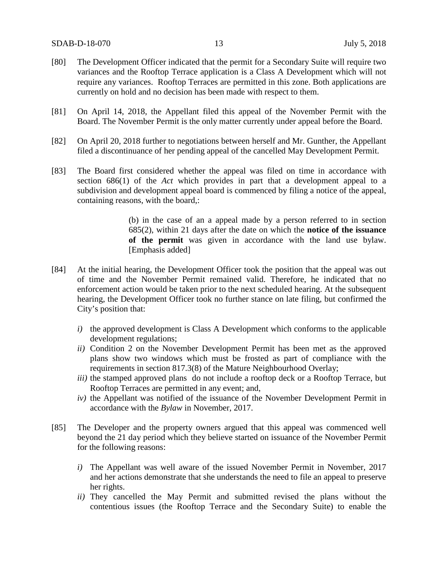- [80] The Development Officer indicated that the permit for a Secondary Suite will require two variances and the Rooftop Terrace application is a Class A Development which will not require any variances. Rooftop Terraces are permitted in this zone. Both applications are currently on hold and no decision has been made with respect to them.
- [81] On April 14, 2018, the Appellant filed this appeal of the November Permit with the Board. The November Permit is the only matter currently under appeal before the Board.
- [82] On April 20, 2018 further to negotiations between herself and Mr. Gunther, the Appellant filed a discontinuance of her pending appeal of the cancelled May Development Permit.
- [83] The Board first considered whether the appeal was filed on time in accordance with section 686(1) of the *Act* which provides in part that a development appeal to a subdivision and development appeal board is commenced by filing a notice of the appeal, containing reasons, with the board,:

(b) in the case of an a appeal made by a person referred to in section 685(2), within 21 days after the date on which the **notice of the issuance of the permit** was given in accordance with the land use bylaw. [Emphasis added]

- [84] At the initial hearing, the Development Officer took the position that the appeal was out of time and the November Permit remained valid. Therefore, he indicated that no enforcement action would be taken prior to the next scheduled hearing. At the subsequent hearing, the Development Officer took no further stance on late filing, but confirmed the City's position that:
	- *i)* the approved development is Class A Development which conforms to the applicable development regulations;
	- *ii)* Condition 2 on the November Development Permit has been met as the approved plans show two windows which must be frosted as part of compliance with the requirements in section 817.3(8) of the Mature Neighbourhood Overlay;
	- *iii*) the stamped approved plans do not include a rooftop deck or a Rooftop Terrace, but Rooftop Terraces are permitted in any event; and,
	- *iv)* the Appellant was notified of the issuance of the November Development Permit in accordance with the *Bylaw* in November, 2017.
- [85] The Developer and the property owners argued that this appeal was commenced well beyond the 21 day period which they believe started on issuance of the November Permit for the following reasons:
	- *i)* The Appellant was well aware of the issued November Permit in November, 2017 and her actions demonstrate that she understands the need to file an appeal to preserve her rights.
	- *ii)* They cancelled the May Permit and submitted revised the plans without the contentious issues (the Rooftop Terrace and the Secondary Suite) to enable the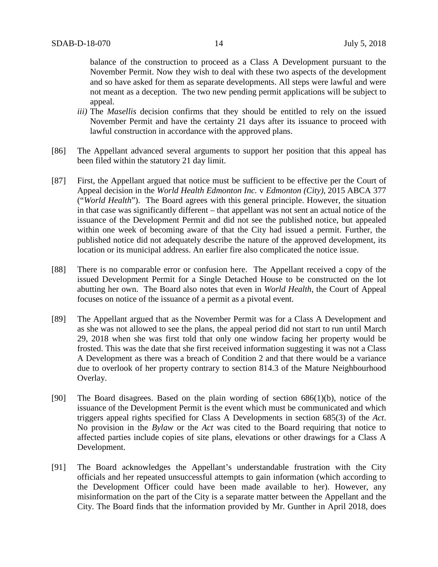balance of the construction to proceed as a Class A Development pursuant to the November Permit. Now they wish to deal with these two aspects of the development and so have asked for them as separate developments. All steps were lawful and were not meant as a deception. The two new pending permit applications will be subject to appeal.

- *iii)* The *Masellis* decision confirms that they should be entitled to rely on the issued November Permit and have the certainty 21 days after its issuance to proceed with lawful construction in accordance with the approved plans.
- [86] The Appellant advanced several arguments to support her position that this appeal has been filed within the statutory 21 day limit.
- [87] First, the Appellant argued that notice must be sufficient to be effective per the Court of Appeal decision in the *World Health Edmonton Inc.* v *Edmonton (City)*, 2015 ABCA 377 ("*World Health*"). The Board agrees with this general principle. However, the situation in that case was significantly different – that appellant was not sent an actual notice of the issuance of the Development Permit and did not see the published notice, but appealed within one week of becoming aware of that the City had issued a permit. Further, the published notice did not adequately describe the nature of the approved development, its location or its municipal address. An earlier fire also complicated the notice issue.
- [88] There is no comparable error or confusion here. The Appellant received a copy of the issued Development Permit for a Single Detached House to be constructed on the lot abutting her own. The Board also notes that even in *World Health*, the Court of Appeal focuses on notice of the issuance of a permit as a pivotal event.
- [89] The Appellant argued that as the November Permit was for a Class A Development and as she was not allowed to see the plans, the appeal period did not start to run until March 29, 2018 when she was first told that only one window facing her property would be frosted. This was the date that she first received information suggesting it was not a Class A Development as there was a breach of Condition 2 and that there would be a variance due to overlook of her property contrary to section 814.3 of the Mature Neighbourhood Overlay.
- [90] The Board disagrees. Based on the plain wording of section 686(1)(b), notice of the issuance of the Development Permit is the event which must be communicated and which triggers appeal rights specified for Class A Developments in section 685(3) of the *Act*. No provision in the *Bylaw* or the *Act* was cited to the Board requiring that notice to affected parties include copies of site plans, elevations or other drawings for a Class A Development.
- [91] The Board acknowledges the Appellant's understandable frustration with the City officials and her repeated unsuccessful attempts to gain information (which according to the Development Officer could have been made available to her). However, any misinformation on the part of the City is a separate matter between the Appellant and the City. The Board finds that the information provided by Mr. Gunther in April 2018, does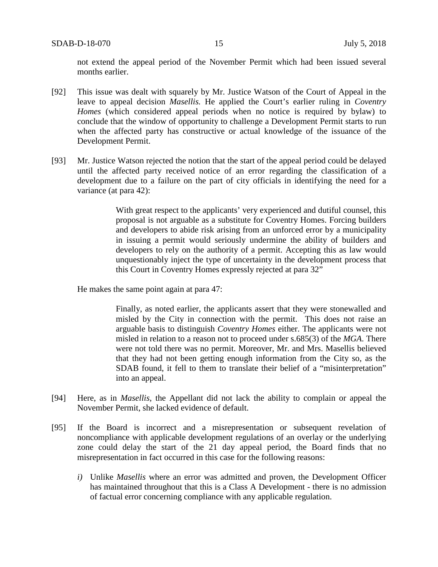not extend the appeal period of the November Permit which had been issued several months earlier.

- [92] This issue was dealt with squarely by Mr. Justice Watson of the Court of Appeal in the leave to appeal decision *Masellis.* He applied the Court's earlier ruling in *Coventry Homes* (which considered appeal periods when no notice is required by bylaw) to conclude that the window of opportunity to challenge a Development Permit starts to run when the affected party has constructive or actual knowledge of the issuance of the Development Permit.
- [93] Mr. Justice Watson rejected the notion that the start of the appeal period could be delayed until the affected party received notice of an error regarding the classification of a development due to a failure on the part of city officials in identifying the need for a variance (at para 42):

With great respect to the applicants' very experienced and dutiful counsel, this proposal is not arguable as a substitute for Coventry Homes. Forcing builders and developers to abide risk arising from an unforced error by a municipality in issuing a permit would seriously undermine the ability of builders and developers to rely on the authority of a permit. Accepting this as law would unquestionably inject the type of uncertainty in the development process that this Court in Coventry Homes expressly rejected at para 32"

He makes the same point again at para 47:

Finally, as noted earlier, the applicants assert that they were stonewalled and misled by the City in connection with the permit. This does not raise an arguable basis to distinguish *Coventry Homes* either. The applicants were not misled in relation to a reason not to proceed under s.685(3) of the *MGA*. There were not told there was no permit. Moreover, Mr. and Mrs. Masellis believed that they had not been getting enough information from the City so, as the SDAB found, it fell to them to translate their belief of a "misinterpretation" into an appeal.

- [94] Here, as in *Masellis*, the Appellant did not lack the ability to complain or appeal the November Permit, she lacked evidence of default.
- [95] If the Board is incorrect and a misrepresentation or subsequent revelation of noncompliance with applicable development regulations of an overlay or the underlying zone could delay the start of the 21 day appeal period, the Board finds that no misrepresentation in fact occurred in this case for the following reasons:
	- *i)* Unlike *Masellis* where an error was admitted and proven, the Development Officer has maintained throughout that this is a Class A Development - there is no admission of factual error concerning compliance with any applicable regulation.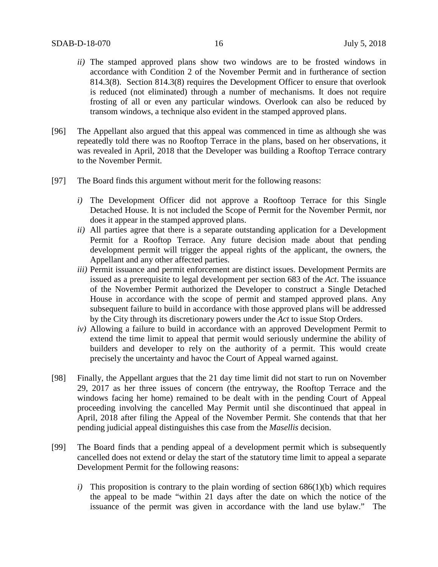- *ii)* The stamped approved plans show two windows are to be frosted windows in accordance with Condition 2 of the November Permit and in furtherance of section 814.3(8). Section 814.3(8) requires the Development Officer to ensure that overlook is reduced (not eliminated) through a number of mechanisms. It does not require frosting of all or even any particular windows. Overlook can also be reduced by transom windows, a technique also evident in the stamped approved plans.
- [96] The Appellant also argued that this appeal was commenced in time as although she was repeatedly told there was no Rooftop Terrace in the plans, based on her observations, it was revealed in April, 2018 that the Developer was building a Rooftop Terrace contrary to the November Permit.
- [97] The Board finds this argument without merit for the following reasons:
	- *i)* The Development Officer did not approve a Rooftoop Terrace for this Single Detached House. It is not included the Scope of Permit for the November Permit, nor does it appear in the stamped approved plans.
	- *ii)* All parties agree that there is a separate outstanding application for a Development Permit for a Rooftop Terrace. Any future decision made about that pending development permit will trigger the appeal rights of the applicant, the owners, the Appellant and any other affected parties.
	- *iii)* Permit issuance and permit enforcement are distinct issues. Development Permits are issued as a prerequisite to legal development per section 683 of the *Act*. The issuance of the November Permit authorized the Developer to construct a Single Detached House in accordance with the scope of permit and stamped approved plans. Any subsequent failure to build in accordance with those approved plans will be addressed by the City through its discretionary powers under the *Act* to issue Stop Orders.
	- *iv)* Allowing a failure to build in accordance with an approved Development Permit to extend the time limit to appeal that permit would seriously undermine the ability of builders and developer to rely on the authority of a permit. This would create precisely the uncertainty and havoc the Court of Appeal warned against.
- [98] Finally, the Appellant argues that the 21 day time limit did not start to run on November 29, 2017 as her three issues of concern (the entryway, the Rooftop Terrace and the windows facing her home) remained to be dealt with in the pending Court of Appeal proceeding involving the cancelled May Permit until she discontinued that appeal in April, 2018 after filing the Appeal of the November Permit. She contends that that her pending judicial appeal distinguishes this case from the *Masellis* decision.
- [99] The Board finds that a pending appeal of a development permit which is subsequently cancelled does not extend or delay the start of the statutory time limit to appeal a separate Development Permit for the following reasons:
	- *i*) This proposition is contrary to the plain wording of section  $686(1)(b)$  which requires the appeal to be made "within 21 days after the date on which the notice of the issuance of the permit was given in accordance with the land use bylaw." The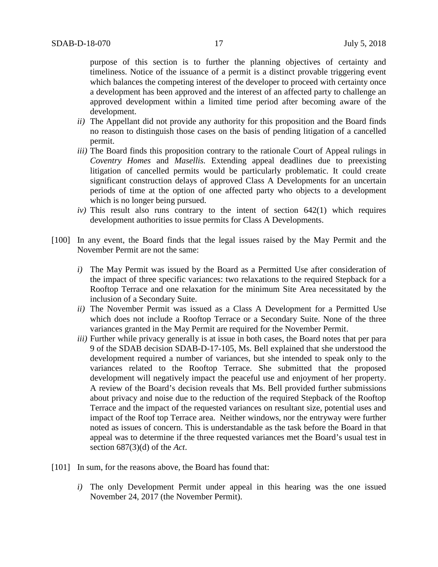purpose of this section is to further the planning objectives of certainty and timeliness. Notice of the issuance of a permit is a distinct provable triggering event which balances the competing interest of the developer to proceed with certainty once a development has been approved and the interest of an affected party to challenge an approved development within a limited time period after becoming aware of the development.

- *ii)* The Appellant did not provide any authority for this proposition and the Board finds no reason to distinguish those cases on the basis of pending litigation of a cancelled permit.
- *iii*) The Board finds this proposition contrary to the rationale Court of Appeal rulings in *Coventry Homes* and *Masellis.* Extending appeal deadlines due to preexisting litigation of cancelled permits would be particularly problematic. It could create significant construction delays of approved Class A Developments for an uncertain periods of time at the option of one affected party who objects to a development which is no longer being pursued.
- *iv)* This result also runs contrary to the intent of section 642(1) which requires development authorities to issue permits for Class A Developments.
- [100] In any event, the Board finds that the legal issues raised by the May Permit and the November Permit are not the same:
	- *i)* The May Permit was issued by the Board as a Permitted Use after consideration of the impact of three specific variances: two relaxations to the required Stepback for a Rooftop Terrace and one relaxation for the minimum Site Area necessitated by the inclusion of a Secondary Suite.
	- *ii)* The November Permit was issued as a Class A Development for a Permitted Use which does not include a Rooftop Terrace or a Secondary Suite. None of the three variances granted in the May Permit are required for the November Permit.
	- *iii*) Further while privacy generally is at issue in both cases, the Board notes that per para 9 of the SDAB decision SDAB-D-17-105, Ms. Bell explained that she understood the development required a number of variances, but she intended to speak only to the variances related to the Rooftop Terrace. She submitted that the proposed development will negatively impact the peaceful use and enjoyment of her property. A review of the Board's decision reveals that Ms. Bell provided further submissions about privacy and noise due to the reduction of the required Stepback of the Rooftop Terrace and the impact of the requested variances on resultant size, potential uses and impact of the Roof top Terrace area. Neither windows, nor the entryway were further noted as issues of concern. This is understandable as the task before the Board in that appeal was to determine if the three requested variances met the Board's usual test in section 687(3)(d) of the *Act*.
- [101] In sum, for the reasons above, the Board has found that:
	- *i)* The only Development Permit under appeal in this hearing was the one issued November 24, 2017 (the November Permit).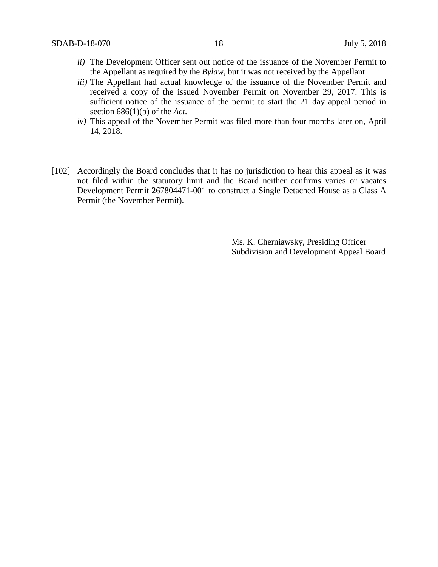- *ii)* The Development Officer sent out notice of the issuance of the November Permit to the Appellant as required by the *Bylaw*, but it was not received by the Appellant.
- *iii)* The Appellant had actual knowledge of the issuance of the November Permit and received a copy of the issued November Permit on November 29, 2017. This is sufficient notice of the issuance of the permit to start the 21 day appeal period in section 686(1)(b) of the *Act*.
- *iv)* This appeal of the November Permit was filed more than four months later on, April 14, 2018.
- [102] Accordingly the Board concludes that it has no jurisdiction to hear this appeal as it was not filed within the statutory limit and the Board neither confirms varies or vacates Development Permit 267804471-001 to construct a Single Detached House as a Class A Permit (the November Permit).

Ms. K. Cherniawsky, Presiding Officer Subdivision and Development Appeal Board